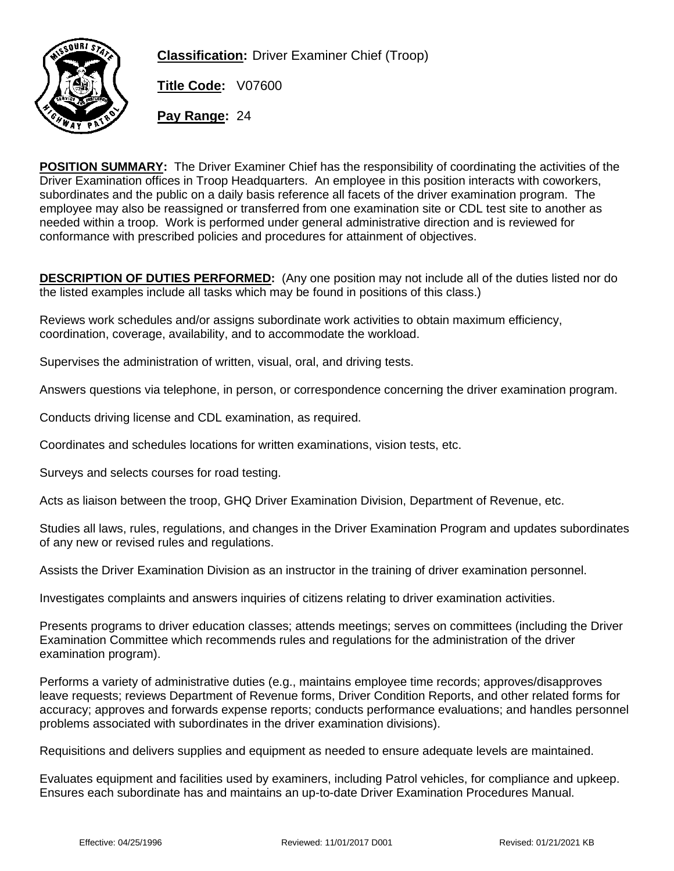

**Classification:** Driver Examiner Chief (Troop)

**Title Code:** V07600

**Pay Range:** 24

**POSITION SUMMARY:** The Driver Examiner Chief has the responsibility of coordinating the activities of the Driver Examination offices in Troop Headquarters. An employee in this position interacts with coworkers, subordinates and the public on a daily basis reference all facets of the driver examination program. The employee may also be reassigned or transferred from one examination site or CDL test site to another as needed within a troop. Work is performed under general administrative direction and is reviewed for conformance with prescribed policies and procedures for attainment of objectives.

**DESCRIPTION OF DUTIES PERFORMED:** (Any one position may not include all of the duties listed nor do the listed examples include all tasks which may be found in positions of this class.)

Reviews work schedules and/or assigns subordinate work activities to obtain maximum efficiency, coordination, coverage, availability, and to accommodate the workload.

Supervises the administration of written, visual, oral, and driving tests.

Answers questions via telephone, in person, or correspondence concerning the driver examination program.

Conducts driving license and CDL examination, as required.

Coordinates and schedules locations for written examinations, vision tests, etc.

Surveys and selects courses for road testing.

Acts as liaison between the troop, GHQ Driver Examination Division, Department of Revenue, etc.

Studies all laws, rules, regulations, and changes in the Driver Examination Program and updates subordinates of any new or revised rules and regulations.

Assists the Driver Examination Division as an instructor in the training of driver examination personnel.

Investigates complaints and answers inquiries of citizens relating to driver examination activities.

Presents programs to driver education classes; attends meetings; serves on committees (including the Driver Examination Committee which recommends rules and regulations for the administration of the driver examination program).

Performs a variety of administrative duties (e.g., maintains employee time records; approves/disapproves leave requests; reviews Department of Revenue forms, Driver Condition Reports, and other related forms for accuracy; approves and forwards expense reports; conducts performance evaluations; and handles personnel problems associated with subordinates in the driver examination divisions).

Requisitions and delivers supplies and equipment as needed to ensure adequate levels are maintained.

Evaluates equipment and facilities used by examiners, including Patrol vehicles, for compliance and upkeep. Ensures each subordinate has and maintains an up-to-date Driver Examination Procedures Manual.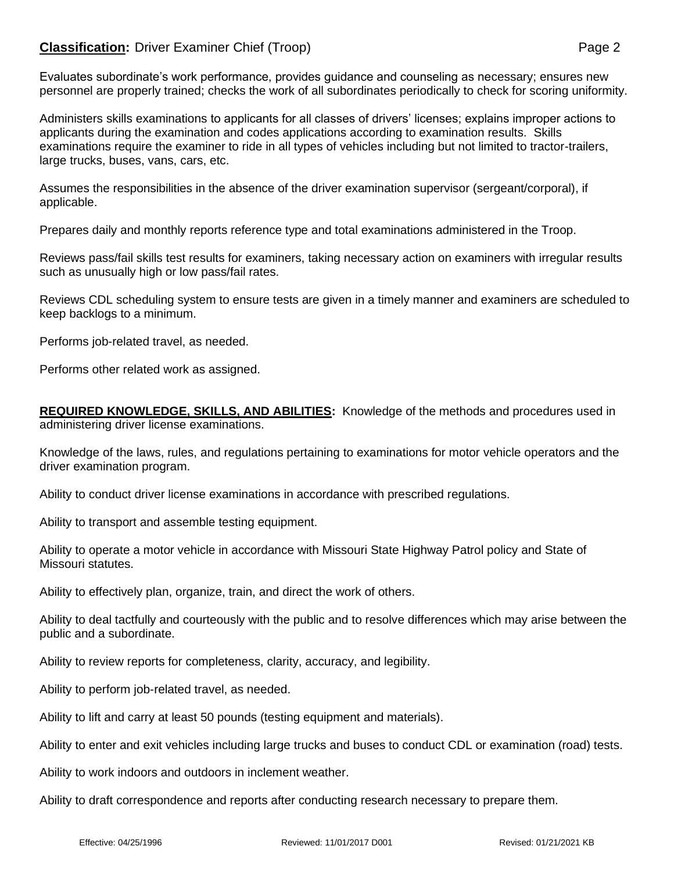## **Classification:** Driver Examiner Chief (Troop) **Page 2** Page 2

Evaluates subordinate's work performance, provides guidance and counseling as necessary; ensures new personnel are properly trained; checks the work of all subordinates periodically to check for scoring uniformity.

Administers skills examinations to applicants for all classes of drivers' licenses; explains improper actions to applicants during the examination and codes applications according to examination results. Skills examinations require the examiner to ride in all types of vehicles including but not limited to tractor-trailers, large trucks, buses, vans, cars, etc.

Assumes the responsibilities in the absence of the driver examination supervisor (sergeant/corporal), if applicable.

Prepares daily and monthly reports reference type and total examinations administered in the Troop.

Reviews pass/fail skills test results for examiners, taking necessary action on examiners with irregular results such as unusually high or low pass/fail rates.

Reviews CDL scheduling system to ensure tests are given in a timely manner and examiners are scheduled to keep backlogs to a minimum.

Performs job-related travel, as needed.

Performs other related work as assigned.

**REQUIRED KNOWLEDGE, SKILLS, AND ABILITIES:** Knowledge of the methods and procedures used in administering driver license examinations.

Knowledge of the laws, rules, and regulations pertaining to examinations for motor vehicle operators and the driver examination program.

Ability to conduct driver license examinations in accordance with prescribed regulations.

Ability to transport and assemble testing equipment.

Ability to operate a motor vehicle in accordance with Missouri State Highway Patrol policy and State of Missouri statutes.

Ability to effectively plan, organize, train, and direct the work of others.

Ability to deal tactfully and courteously with the public and to resolve differences which may arise between the public and a subordinate.

Ability to review reports for completeness, clarity, accuracy, and legibility.

Ability to perform job-related travel, as needed.

Ability to lift and carry at least 50 pounds (testing equipment and materials).

Ability to enter and exit vehicles including large trucks and buses to conduct CDL or examination (road) tests.

Ability to work indoors and outdoors in inclement weather.

Ability to draft correspondence and reports after conducting research necessary to prepare them.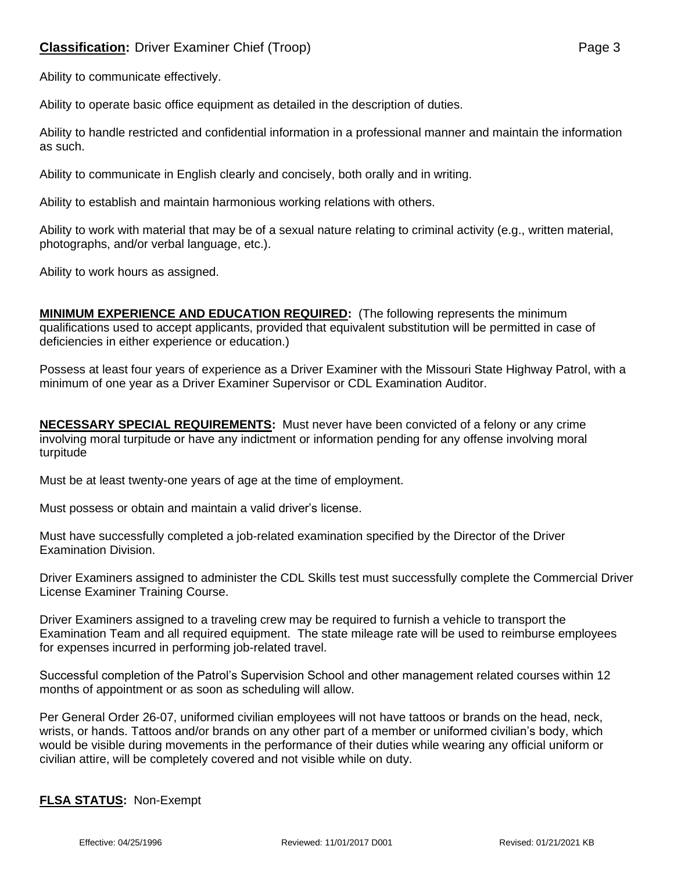Ability to communicate effectively.

Ability to operate basic office equipment as detailed in the description of duties.

Ability to handle restricted and confidential information in a professional manner and maintain the information as such.

Ability to communicate in English clearly and concisely, both orally and in writing.

Ability to establish and maintain harmonious working relations with others.

Ability to work with material that may be of a sexual nature relating to criminal activity (e.g., written material, photographs, and/or verbal language, etc.).

Ability to work hours as assigned.

**MINIMUM EXPERIENCE AND EDUCATION REQUIRED:** (The following represents the minimum qualifications used to accept applicants, provided that equivalent substitution will be permitted in case of deficiencies in either experience or education.)

Possess at least four years of experience as a Driver Examiner with the Missouri State Highway Patrol, with a minimum of one year as a Driver Examiner Supervisor or CDL Examination Auditor.

**NECESSARY SPECIAL REQUIREMENTS:** Must never have been convicted of a felony or any crime involving moral turpitude or have any indictment or information pending for any offense involving moral turpitude

Must be at least twenty-one years of age at the time of employment.

Must possess or obtain and maintain a valid driver's license.

Must have successfully completed a job-related examination specified by the Director of the Driver Examination Division.

Driver Examiners assigned to administer the CDL Skills test must successfully complete the Commercial Driver License Examiner Training Course.

Driver Examiners assigned to a traveling crew may be required to furnish a vehicle to transport the Examination Team and all required equipment. The state mileage rate will be used to reimburse employees for expenses incurred in performing job-related travel.

Successful completion of the Patrol's Supervision School and other management related courses within 12 months of appointment or as soon as scheduling will allow.

Per General Order 26-07, uniformed civilian employees will not have tattoos or brands on the head, neck, wrists, or hands. Tattoos and/or brands on any other part of a member or uniformed civilian's body, which would be visible during movements in the performance of their duties while wearing any official uniform or civilian attire, will be completely covered and not visible while on duty.

## **FLSA STATUS:** Non-Exempt